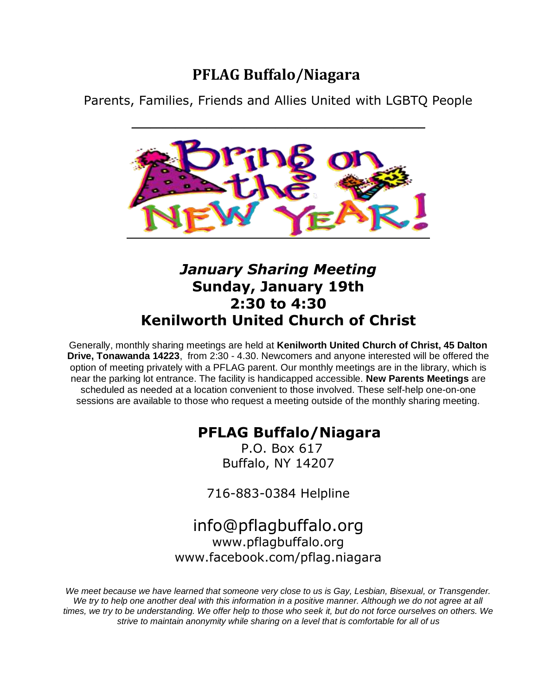## **PFLAG Buffalo/Niagara**

Parents, Families, Friends and Allies United with LGBTQ People



## *January Sharing Meeting* **Sunday, January 19th 2:30 to 4:30 Kenilworth United Church of Christ**

Generally, monthly sharing meetings are held at **Kenilworth United Church of Christ, 45 Dalton Drive, Tonawanda 14223**, from 2:30 - 4.30. Newcomers and anyone interested will be offered the option of meeting privately with a PFLAG parent. Our monthly meetings are in the library, which is near the parking lot entrance. The facility is handicapped accessible. **New Parents Meetings** are scheduled as needed at a location convenient to those involved. These self-help one-on-one sessions are available to those who request a meeting outside of the monthly sharing meeting.

## **PFLAG Buffalo/Niagara**

P.O. Box 617 Buffalo, NY 14207

716-883-0384 Helpline

## [info@pflagbuffalo.org](mailto:info@pflagbuffalo.org) www.pflagbuffalo.org [www.facebook.com/pflag.niagara](http://www.facebook.com/pflag.niagara)

*We meet because we have learned that someone very close to us is Gay, Lesbian, Bisexual, or Transgender.*  We try to help one another deal with this information in a positive manner. Although we do not agree at all *times, we try to be understanding. We offer help to those who seek it, but do not force ourselves on others. We strive to maintain anonymity while sharing on a level that is comfortable for all of us*